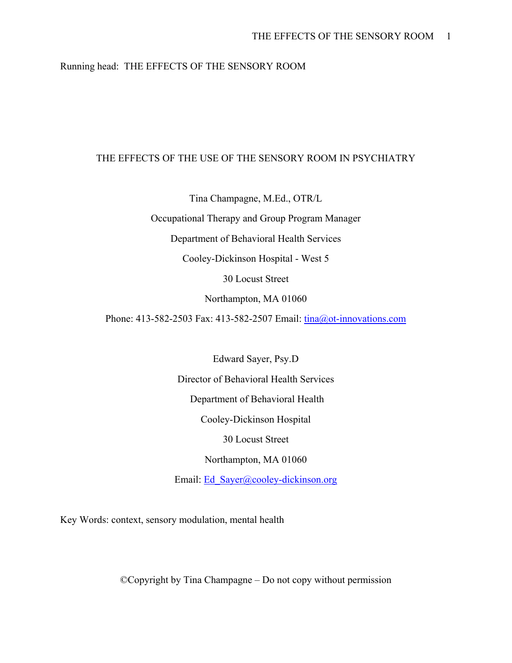# Running head: THE EFFECTS OF THE SENSORY ROOM

# THE EFFECTS OF THE USE OF THE SENSORY ROOM IN PSYCHIATRY

Tina Champagne, M.Ed., OTR/L

Occupational Therapy and Group Program Manager

Department of Behavioral Health Services

Cooley-Dickinson Hospital - West 5

30 Locust Street

Northampton, MA 01060

Phone: 413-582-2503 Fax: 413-582-2507 Email: tina@ot-innovations.com

Edward Sayer, Psy.D Director of Behavioral Health Services Department of Behavioral Health Cooley-Dickinson Hospital 30 Locust Street Northampton, MA 01060

Email: Ed\_Sayer@cooley-dickinson.org

Key Words: context, sensory modulation, mental health

©Copyright by Tina Champagne – Do not copy without permission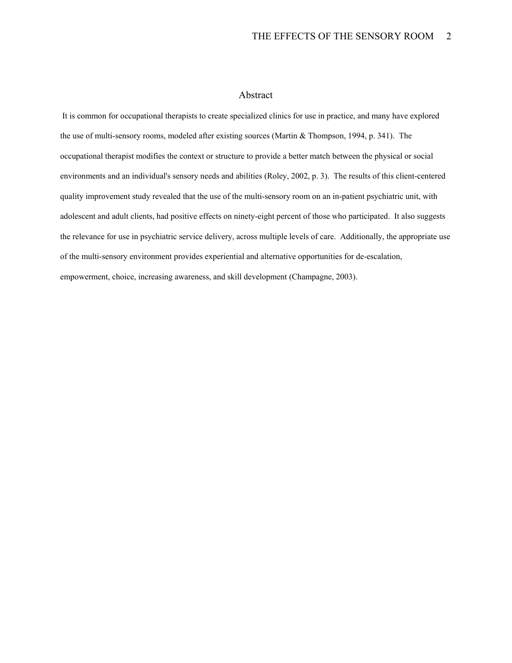## Abstract

 It is common for occupational therapists to create specialized clinics for use in practice, and many have explored the use of multi-sensory rooms, modeled after existing sources (Martin & Thompson, 1994, p. 341). The occupational therapist modifies the context or structure to provide a better match between the physical or social environments and an individual's sensory needs and abilities (Roley, 2002, p. 3). The results of this client-centered quality improvement study revealed that the use of the multi-sensory room on an in-patient psychiatric unit, with adolescent and adult clients, had positive effects on ninety-eight percent of those who participated. It also suggests the relevance for use in psychiatric service delivery, across multiple levels of care. Additionally, the appropriate use of the multi-sensory environment provides experiential and alternative opportunities for de-escalation, empowerment, choice, increasing awareness, and skill development (Champagne, 2003).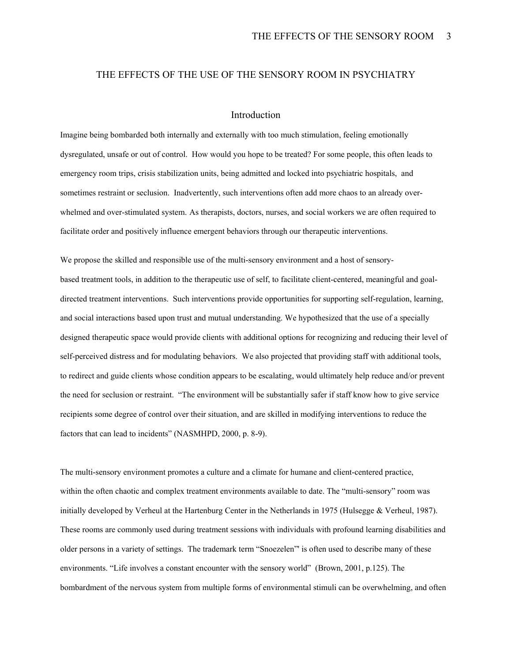# THE EFFECTS OF THE USE OF THE SENSORY ROOM IN PSYCHIATRY

## Introduction

Imagine being bombarded both internally and externally with too much stimulation, feeling emotionally dysregulated, unsafe or out of control. How would you hope to be treated? For some people, this often leads to emergency room trips, crisis stabilization units, being admitted and locked into psychiatric hospitals, and sometimes restraint or seclusion. Inadvertently, such interventions often add more chaos to an already overwhelmed and over-stimulated system. As therapists, doctors, nurses, and social workers we are often required to facilitate order and positively influence emergent behaviors through our therapeutic interventions.

We propose the skilled and responsible use of the multi-sensory environment and a host of sensorybased treatment tools, in addition to the therapeutic use of self, to facilitate client-centered, meaningful and goaldirected treatment interventions. Such interventions provide opportunities for supporting self-regulation, learning, and social interactions based upon trust and mutual understanding. We hypothesized that the use of a specially designed therapeutic space would provide clients with additional options for recognizing and reducing their level of self-perceived distress and for modulating behaviors. We also projected that providing staff with additional tools, to redirect and guide clients whose condition appears to be escalating, would ultimately help reduce and/or prevent the need for seclusion or restraint. "The environment will be substantially safer if staff know how to give service recipients some degree of control over their situation, and are skilled in modifying interventions to reduce the factors that can lead to incidents" (NASMHPD, 2000, p. 8-9).

The multi-sensory environment promotes a culture and a climate for humane and client-centered practice, within the often chaotic and complex treatment environments available to date. The "multi-sensory" room was initially developed by Verheul at the Hartenburg Center in the Netherlands in 1975 (Hulsegge & Verheul, 1987). These rooms are commonly used during treatment sessions with individuals with profound learning disabilities and older persons in a variety of settings. The trademark term "Snoezelen"' is often used to describe many of these environments. "Life involves a constant encounter with the sensory world" (Brown, 2001, p.125). The bombardment of the nervous system from multiple forms of environmental stimuli can be overwhelming, and often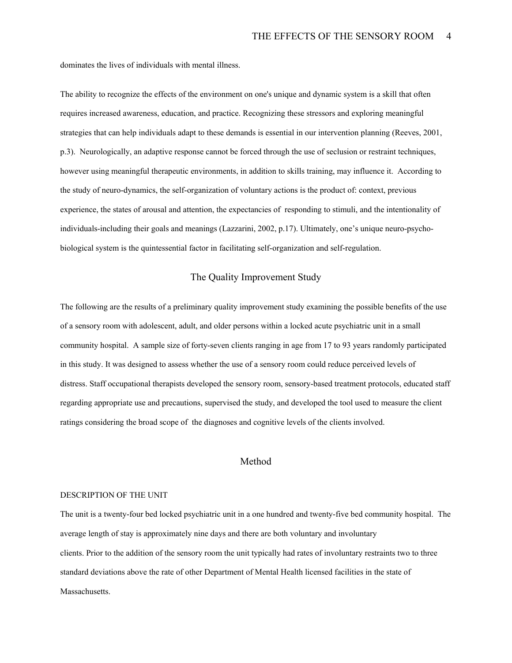dominates the lives of individuals with mental illness.

The ability to recognize the effects of the environment on one's unique and dynamic system is a skill that often requires increased awareness, education, and practice. Recognizing these stressors and exploring meaningful strategies that can help individuals adapt to these demands is essential in our intervention planning (Reeves, 2001, p.3). Neurologically, an adaptive response cannot be forced through the use of seclusion or restraint techniques, however using meaningful therapeutic environments, in addition to skills training, may influence it. According to the study of neuro-dynamics, the self-organization of voluntary actions is the product of: context, previous experience, the states of arousal and attention, the expectancies of responding to stimuli, and the intentionality of individuals-including their goals and meanings (Lazzarini, 2002, p.17). Ultimately, one's unique neuro-psychobiological system is the quintessential factor in facilitating self-organization and self-regulation.

# The Quality Improvement Study

The following are the results of a preliminary quality improvement study examining the possible benefits of the use of a sensory room with adolescent, adult, and older persons within a locked acute psychiatric unit in a small community hospital. A sample size of forty-seven clients ranging in age from 17 to 93 years randomly participated in this study. It was designed to assess whether the use of a sensory room could reduce perceived levels of distress. Staff occupational therapists developed the sensory room, sensory-based treatment protocols, educated staff regarding appropriate use and precautions, supervised the study, and developed the tool used to measure the client ratings considering the broad scope of the diagnoses and cognitive levels of the clients involved.

## Method

#### DESCRIPTION OF THE UNIT

The unit is a twenty-four bed locked psychiatric unit in a one hundred and twenty-five bed community hospital. The average length of stay is approximately nine days and there are both voluntary and involuntary clients. Prior to the addition of the sensory room the unit typically had rates of involuntary restraints two to three standard deviations above the rate of other Department of Mental Health licensed facilities in the state of Massachusetts.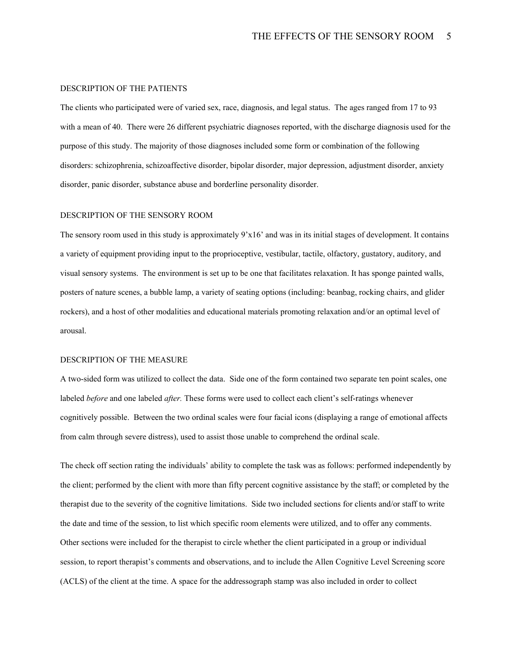#### DESCRIPTION OF THE PATIENTS

The clients who participated were of varied sex, race, diagnosis, and legal status. The ages ranged from 17 to 93 with a mean of 40. There were 26 different psychiatric diagnoses reported, with the discharge diagnosis used for the purpose of this study. The majority of those diagnoses included some form or combination of the following disorders: schizophrenia, schizoaffective disorder, bipolar disorder, major depression, adjustment disorder, anxiety disorder, panic disorder, substance abuse and borderline personality disorder.

#### DESCRIPTION OF THE SENSORY ROOM

The sensory room used in this study is approximately 9'x16' and was in its initial stages of development. It contains a variety of equipment providing input to the proprioceptive, vestibular, tactile, olfactory, gustatory, auditory, and visual sensory systems. The environment is set up to be one that facilitates relaxation. It has sponge painted walls, posters of nature scenes, a bubble lamp, a variety of seating options (including: beanbag, rocking chairs, and glider rockers), and a host of other modalities and educational materials promoting relaxation and/or an optimal level of arousal.

#### DESCRIPTION OF THE MEASURE

A two-sided form was utilized to collect the data. Side one of the form contained two separate ten point scales, one labeled *before* and one labeled *after.* These forms were used to collect each client's self-ratings whenever cognitively possible. Between the two ordinal scales were four facial icons (displaying a range of emotional affects from calm through severe distress), used to assist those unable to comprehend the ordinal scale.

The check off section rating the individuals' ability to complete the task was as follows: performed independently by the client; performed by the client with more than fifty percent cognitive assistance by the staff; or completed by the therapist due to the severity of the cognitive limitations. Side two included sections for clients and/or staff to write the date and time of the session, to list which specific room elements were utilized, and to offer any comments. Other sections were included for the therapist to circle whether the client participated in a group or individual session, to report therapist's comments and observations, and to include the Allen Cognitive Level Screening score (ACLS) of the client at the time. A space for the addressograph stamp was also included in order to collect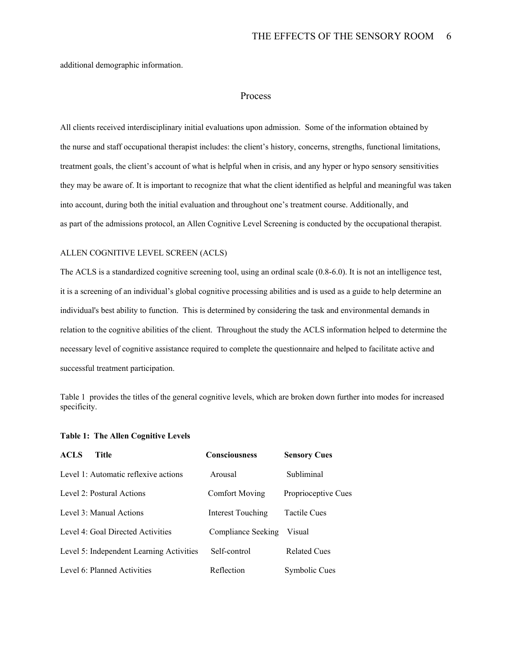additional demographic information.

## Process

All clients received interdisciplinary initial evaluations upon admission. Some of the information obtained by the nurse and staff occupational therapist includes: the client's history, concerns, strengths, functional limitations, treatment goals, the client's account of what is helpful when in crisis, and any hyper or hypo sensory sensitivities they may be aware of. It is important to recognize that what the client identified as helpful and meaningful was taken into account, during both the initial evaluation and throughout one's treatment course. Additionally, and as part of the admissions protocol, an Allen Cognitive Level Screening is conducted by the occupational therapist.

### ALLEN COGNITIVE LEVEL SCREEN (ACLS)

The ACLS is a standardized cognitive screening tool, using an ordinal scale (0.8-6.0). It is not an intelligence test, it is a screening of an individual's global cognitive processing abilities and is used as a guide to help determine an individual's best ability to function. This is determined by considering the task and environmental demands in relation to the cognitive abilities of the client. Throughout the study the ACLS information helped to determine the necessary level of cognitive assistance required to complete the questionnaire and helped to facilitate active and successful treatment participation.

Table 1 provides the titles of the general cognitive levels, which are broken down further into modes for increased specificity.

| <b>ACLS</b><br>Title                     | <b>Consciousness</b>  | <b>Sensory Cues</b> |
|------------------------------------------|-----------------------|---------------------|
| Level 1: Automatic reflexive actions     | Arousal               | Subliminal          |
| Level 2: Postural Actions                | <b>Comfort Moving</b> | Proprioceptive Cues |
| Level 3: Manual Actions                  | Interest Touching     | <b>Tactile Cues</b> |
| Level 4: Goal Directed Activities        | Compliance Seeking    | Visual              |
| Level 5: Independent Learning Activities | Self-control          | <b>Related Cues</b> |
| Level 6: Planned Activities              | Reflection            | Symbolic Cues       |

#### **Table 1: The Allen Cognitive Levels**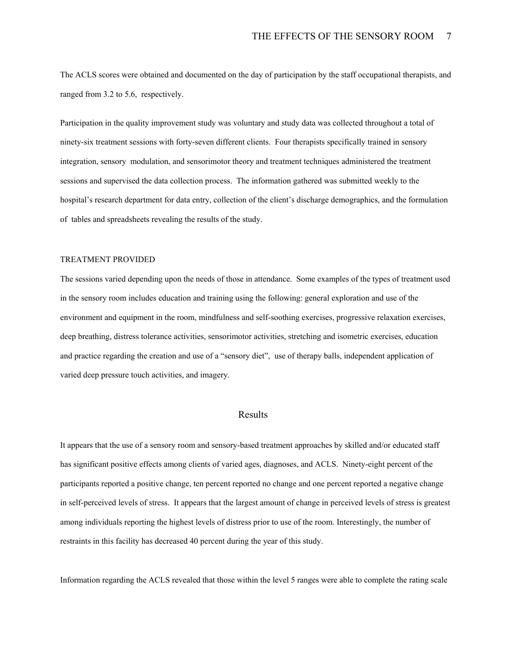The ACLS scores were obtained and documented on the day of participation by the staff occupational therapists, and ranged from 3.2 to 5.6, respectively.

Participation in the quality improvement study was voluntary and study data was collected throughout a total of ninety-six treatment sessions with forty-seven different clients. Four therapists specifically trained in sensory integration, sensory modulation, and sensorimotor theory and treatment techniques administered the treatment sessions and supervised the data collection process. The information gathered was submitted weekly to the hospital's research department for data entry, collection of the client's discharge demographics, and the formulation of tables and spreadsheets revealing the results of the study.

### TREATMENT PROVIDED

The sessions varied depending upon the needs of those in attendance. Some examples of the types of treatment used in the sensory room includes education and training using the following: general exploration and use of the environment and equipment in the room, mindfulness and self-soothing exercises, progressive relaxation exercises, deep breathing, distress tolerance activities, sensorimotor activities, stretching and isometric exercises, education and practice regarding the creation and use of a "sensory diet", use of therapy balls, independent application of varied deep pressure touch activities, and imagery.

# Results

It appears that the use of a sensory room and sensory-based treatment approaches by skilled and/or educated staff has significant positive effects among clients of varied ages, diagnoses, and ACLS. Ninety-eight percent of the participants reported a positive change, ten percent reported no change and one percent reported a negative change in self-perceived levels of stress. It appears that the largest amount of change in perceived levels of stress is greatest among individuals reporting the highest levels of distress prior to use of the room. Interestingly, the number of restraints in this facility has decreased 40 percent during the year of this study.

Information regarding the ACLS revealed that those within the level 5 ranges were able to complete the rating scale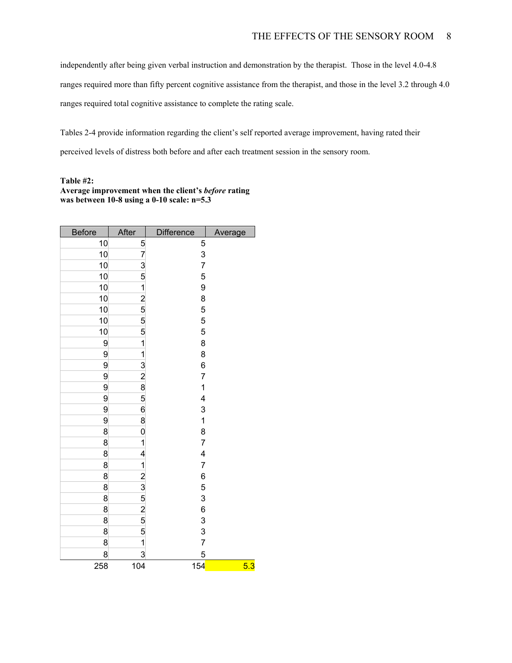independently after being given verbal instruction and demonstration by the therapist. Those in the level 4.0-4.8 ranges required more than fifty percent cognitive assistance from the therapist, and those in the level 3.2 through 4.0 ranges required total cognitive assistance to complete the rating scale.

Tables 2-4 provide information regarding the client's self reported average improvement, having rated their perceived levels of distress both before and after each treatment session in the sensory room.

### **Table #2: Average improvement when the client's** *before* **rating was between 10-8 using a 0-10 scale: n=5.3**

| <b>Before</b> | After          | Difference                            | Average |
|---------------|----------------|---------------------------------------|---------|
| 10            | 5              | 5                                     |         |
| 10            | 7              | 3                                     |         |
| 10            | $\overline{3}$ | $\overline{7}$                        |         |
| 10            | 5              | 5                                     |         |
| 10            | 1              | 9                                     |         |
| 10            | $\overline{a}$ | 8                                     |         |
| 10            | $\frac{5}{5}$  | 5                                     |         |
| 10            |                | 5                                     |         |
| 10            | 5              | 5                                     |         |
| 9             | 1              | 8                                     |         |
| 9             | 1              | 8                                     |         |
| 9             | $\frac{3}{2}$  | 6                                     |         |
| 9             |                | $\overline{7}$                        |         |
| 9             | 8              | $\mathbf{1}$                          |         |
| 9             | 5              | 4                                     |         |
| 9             | 6              | $\begin{array}{c} 3 \\ 1 \end{array}$ |         |
| 9             | 8              |                                       |         |
| 8             | 0              | 8                                     |         |
| 8             | 1              | $\overline{7}$                        |         |
| 8             | 4              | $\overline{\mathcal{A}}$              |         |
| 8             | 1              | $\overline{7}$                        |         |
| 8             | $\frac{2}{3}$  | 6                                     |         |
| 8             |                | 5                                     |         |
| 8             | 5              | 3                                     |         |
| 8             | $\frac{2}{5}$  | 6                                     |         |
| 8             |                | $\frac{3}{3}$                         |         |
| 8             | 5              |                                       |         |
| 8             | 1              | $\overline{7}$                        |         |
| 8             | 3              | 5                                     |         |
| 258           | 104            | 154                                   | 5.3     |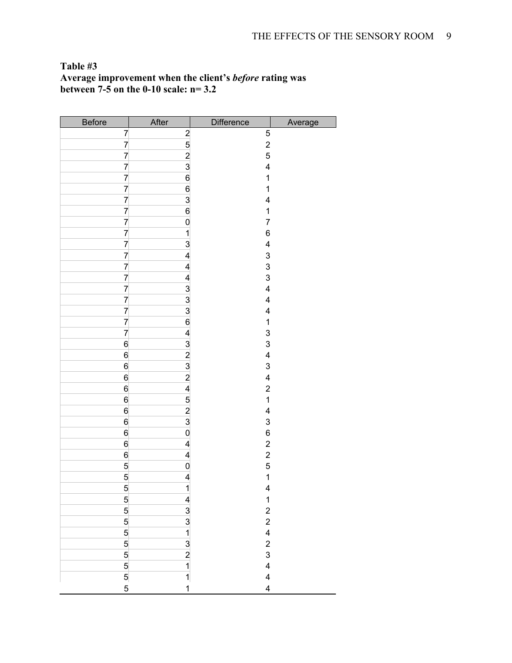# **Table #3 Average improvement when the client's** *before* **rating was between 7-5 on the 0-10 scale: n= 3.2**

| <b>Before</b>   | After                   | Difference              | Average |
|-----------------|-------------------------|-------------------------|---------|
| 7               | $\overline{c}$          | 5                       |         |
| $\overline{7}$  | $\frac{5}{2}$           | $\overline{a}$          |         |
| 7               |                         | 5                       |         |
| $\overline{7}$  | $\overline{3}$          | 4                       |         |
| $\overline{7}$  | 6                       | $\mathbf{1}$            |         |
| $\overline{7}$  | $6\overline{6}$         | $\mathbf{1}$            |         |
| $\overline{7}$  | $\frac{3}{6}$           | $\overline{\mathbf{4}}$ |         |
| 7               |                         | 1                       |         |
| 7               | $\overline{0}$          | $\overline{7}$          |         |
| $\overline{7}$  | $\mathbf{1}$            | 6                       |         |
| $\overline{7}$  | $\mathbf{3}$            | 4                       |         |
| $\overline{7}$  | 4                       | $\frac{3}{3}$           |         |
| $\overline{7}$  | 4                       |                         |         |
| $\overline{7}$  | 4                       | 3                       |         |
| $\overline{7}$  | $\frac{3}{3}$           | 4                       |         |
| $\overline{7}$  |                         | $\overline{\mathbf{4}}$ |         |
| $\overline{7}$  |                         | $\overline{\mathbf{4}}$ |         |
| $\overline{7}$  | $\overline{6}$          | $\mathbf 1$             |         |
| $\overline{7}$  | 4                       | 3                       |         |
| $6\phantom{a}$  | $\overline{3}$          | 3                       |         |
| $6\overline{6}$ | $\overline{2}$          | 4                       |         |
| $6\overline{6}$ | $\frac{3}{2}$           | 3                       |         |
| $6\overline{6}$ |                         | $\overline{\mathbf{4}}$ |         |
| $6\overline{6}$ | $\overline{\mathbf{r}}$ | $\overline{\mathbf{c}}$ |         |
| $6\overline{6}$ | 5                       | $\mathbf{1}$            |         |
| $6\overline{6}$ | $\frac{2}{3}$           | 4                       |         |
| $6\overline{}$  |                         | 3                       |         |
| $6\phantom{.0}$ | $\mathbf{0}$            | 6                       |         |
| $6\overline{6}$ | $\overline{\mathbf{r}}$ | $\overline{\mathbf{c}}$ |         |
| $6\overline{6}$ | $\overline{\mathbf{r}}$ | $\overline{\mathbf{c}}$ |         |
| $\overline{5}$  | $\mathbf 0$             | 5                       |         |
| $\overline{5}$  | $\overline{\mathbf{r}}$ | $\overline{\mathbf{1}}$ |         |
| $\overline{5}$  | $\overline{1}$          | $\overline{\mathbf{4}}$ |         |
| $\overline{5}$  | $\overline{\mathbf{r}}$ | $\mathbf{1}$            |         |
| $\overline{5}$  | $\overline{3}$          | $\overline{\mathbf{c}}$ |         |
| $\overline{5}$  | $\frac{3}{1}$           | $\overline{c}$          |         |
| $\overline{5}$  |                         | $\overline{\mathbf{4}}$ |         |
| $\overline{5}$  | $\frac{3}{2}$           | $\overline{\mathbf{c}}$ |         |
| $\overline{5}$  |                         | 3                       |         |
| $\overline{5}$  | $\overline{\mathbf{1}}$ | $\overline{\mathbf{4}}$ |         |
| $\frac{5}{5}$   | $\overline{1}$          | $\overline{\mathbf{4}}$ |         |
|                 | $\mathbf{1}$            | $\overline{\mathbf{4}}$ |         |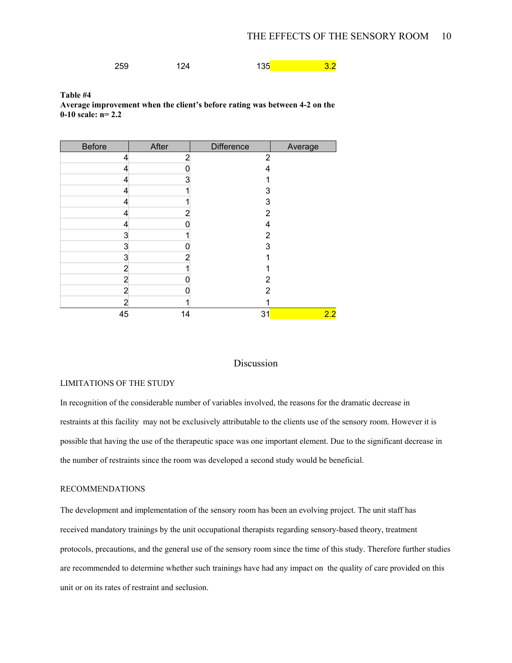259 124 135 259 132

**Table #4 Average improvement when the client's before rating was between 4-2 on the 0-10 scale: n= 2.2** 

| <b>Before</b>  | After | <b>Difference</b> | Average |
|----------------|-------|-------------------|---------|
| 4              | 2     | $\overline{2}$    |         |
| 4              |       | 4                 |         |
| 4              | 3     |                   |         |
| 4              |       | 3                 |         |
| 4              |       | 3                 |         |
| 4              | 2     | 2                 |         |
| 4              |       | 4                 |         |
| 3              |       | 2                 |         |
| 3              | 0     | 3                 |         |
| 3              | 2     |                   |         |
| 2              |       |                   |         |
| $\overline{a}$ |       | 2                 |         |
| $\overline{2}$ |       | 2                 |         |
| 2              |       |                   |         |
| 45             | 14    | 31                | 2.2     |

## Discussion

## LIMITATIONS OF THE STUDY

In recognition of the considerable number of variables involved, the reasons for the dramatic decrease in restraints at this facility may not be exclusively attributable to the clients use of the sensory room. However it is possible that having the use of the therapeutic space was one important element. Due to the significant decrease in the number of restraints since the room was developed a second study would be beneficial.

# RECOMMENDATIONS

The development and implementation of the sensory room has been an evolving project. The unit staff has received mandatory trainings by the unit occupational therapists regarding sensory-based theory, treatment protocols, precautions, and the general use of the sensory room since the time of this study. Therefore further studies are recommended to determine whether such trainings have had any impact on the quality of care provided on this unit or on its rates of restraint and seclusion.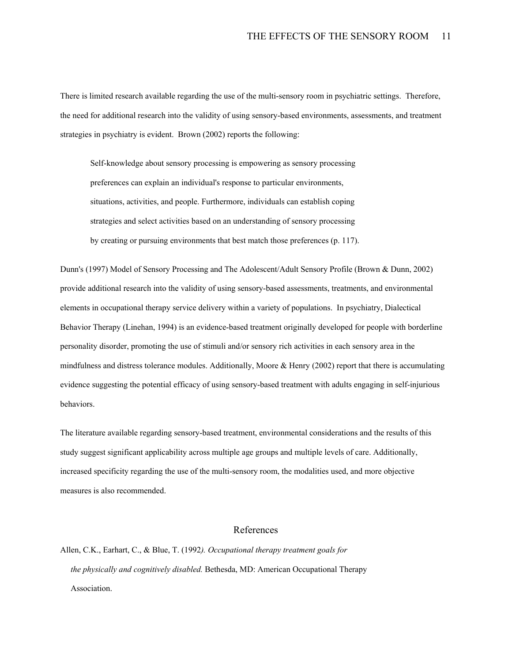There is limited research available regarding the use of the multi-sensory room in psychiatric settings. Therefore, the need for additional research into the validity of using sensory-based environments, assessments, and treatment strategies in psychiatry is evident. Brown (2002) reports the following:

Self-knowledge about sensory processing is empowering as sensory processing preferences can explain an individual's response to particular environments, situations, activities, and people. Furthermore, individuals can establish coping strategies and select activities based on an understanding of sensory processing by creating or pursuing environments that best match those preferences (p. 117).

Dunn's (1997) Model of Sensory Processing and The Adolescent/Adult Sensory Profile (Brown & Dunn, 2002) provide additional research into the validity of using sensory-based assessments, treatments, and environmental elements in occupational therapy service delivery within a variety of populations. In psychiatry, Dialectical Behavior Therapy (Linehan, 1994) is an evidence-based treatment originally developed for people with borderline personality disorder, promoting the use of stimuli and/or sensory rich activities in each sensory area in the mindfulness and distress tolerance modules. Additionally, Moore & Henry (2002) report that there is accumulating evidence suggesting the potential efficacy of using sensory-based treatment with adults engaging in self-injurious behaviors.

The literature available regarding sensory-based treatment, environmental considerations and the results of this study suggest significant applicability across multiple age groups and multiple levels of care. Additionally, increased specificity regarding the use of the multi-sensory room, the modalities used, and more objective measures is also recommended.

### References

Allen, C.K., Earhart, C., & Blue, T. (1992*). Occupational therapy treatment goals for the physically and cognitively disabled.* Bethesda, MD: American Occupational Therapy Association.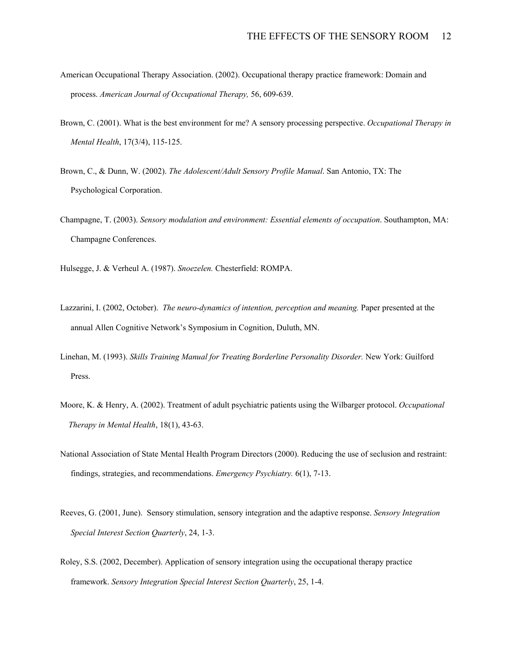- American Occupational Therapy Association. (2002). Occupational therapy practice framework: Domain and process. *American Journal of Occupational Therapy,* 56, 609-639.
- Brown, C. (2001). What is the best environment for me? A sensory processing perspective. *Occupational Therapy in Mental Health*, 17(3/4), 115-125.
- Brown, C., & Dunn, W. (2002). *The Adolescent/Adult Sensory Profile Manual*. San Antonio, TX: The Psychological Corporation.
- Champagne, T. (2003). *Sensory modulation and environment: Essential elements of occupation*. Southampton, MA: Champagne Conferences.

Hulsegge, J. & Verheul A. (1987). *Snoezelen.* Chesterfield: ROMPA.

- Lazzarini, I. (2002, October). *The neuro-dynamics of intention, perception and meaning.* Paper presented at the annual Allen Cognitive Network's Symposium in Cognition, Duluth, MN.
- Linehan, M. (1993). *Skills Training Manual for Treating Borderline Personality Disorder.* New York: Guilford Press.
- Moore, K. & Henry, A. (2002). Treatment of adult psychiatric patients using the Wilbarger protocol. *Occupational Therapy in Mental Health*, 18(1), 43-63.
- National Association of State Mental Health Program Directors (2000). Reducing the use of seclusion and restraint: findings, strategies, and recommendations. *Emergency Psychiatry.* 6(1), 7-13.
- Reeves, G. (2001, June). Sensory stimulation, sensory integration and the adaptive response. *Sensory Integration Special Interest Section Quarterly*, 24, 1-3.
- Roley, S.S. (2002, December). Application of sensory integration using the occupational therapy practice framework. *Sensory Integration Special Interest Section Quarterly*, 25, 1-4.